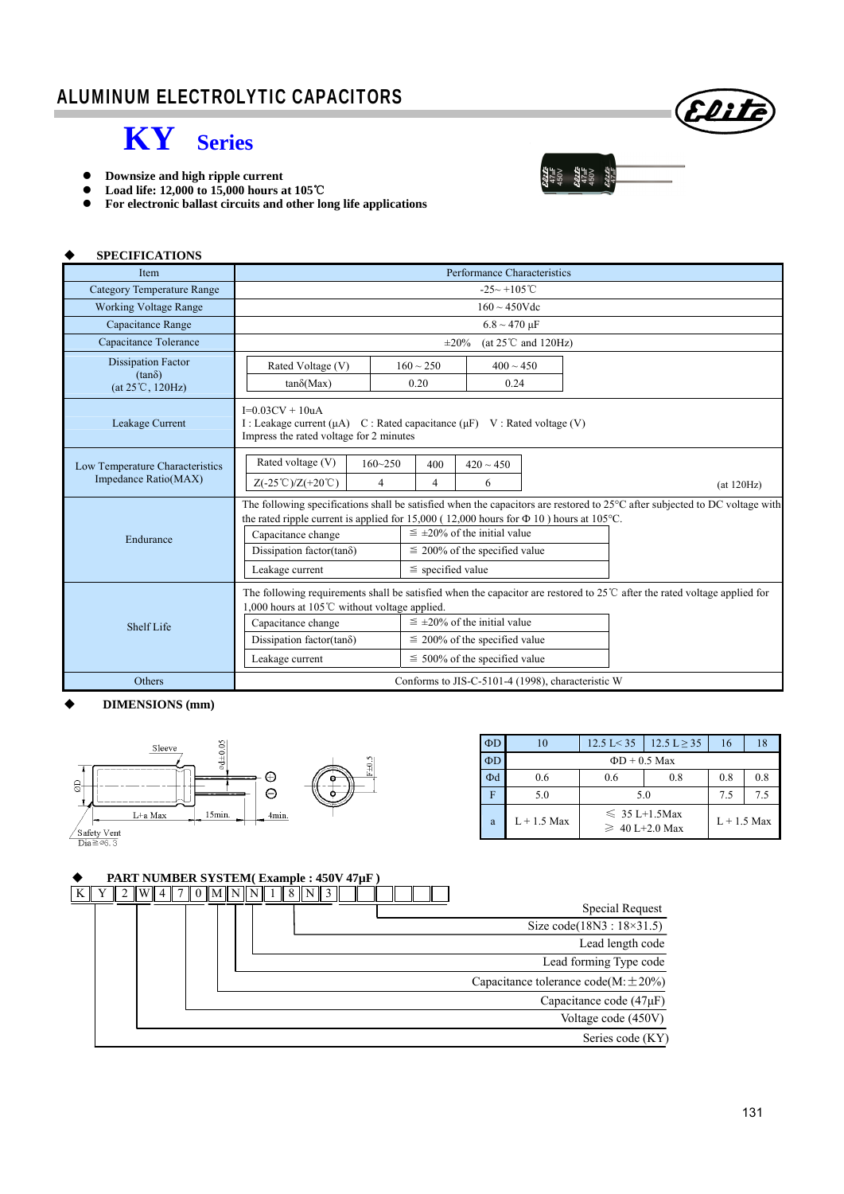

- **•** Downsize and high ripple current<br>• Load life: 12,000 to 15,000 hours a
- **Load life: 12,000 to 15,000 hours at 105**℃
- **For electronic ballast circuits and other long life applications**

| <b>SPECIFICATIONS</b>                                                   |                                                                                                                                                                                                                                                                                                                                                                                                                  |  |  |  |  |
|-------------------------------------------------------------------------|------------------------------------------------------------------------------------------------------------------------------------------------------------------------------------------------------------------------------------------------------------------------------------------------------------------------------------------------------------------------------------------------------------------|--|--|--|--|
| Item                                                                    | Performance Characteristics                                                                                                                                                                                                                                                                                                                                                                                      |  |  |  |  |
| Category Temperature Range                                              | $-25 - +105$ °C                                                                                                                                                                                                                                                                                                                                                                                                  |  |  |  |  |
| <b>Working Voltage Range</b>                                            | $160 \sim 450$ Vdc                                                                                                                                                                                                                                                                                                                                                                                               |  |  |  |  |
| Capacitance Range                                                       | $6.8 \sim 470 \mu F$                                                                                                                                                                                                                                                                                                                                                                                             |  |  |  |  |
| Capacitance Tolerance                                                   | (at $25^{\circ}$ C and $120$ Hz)<br>$\pm 20\%$                                                                                                                                                                                                                                                                                                                                                                   |  |  |  |  |
| <b>Dissipation Factor</b><br>$(tan\delta)$<br>$(at 25^{\circ}C, 120Hz)$ | $160 \sim 250$<br>$400 \sim 450$<br>Rated Voltage (V)<br>0.20<br>0.24<br>$tan\delta(Max)$                                                                                                                                                                                                                                                                                                                        |  |  |  |  |
| Leakage Current                                                         | $I=0.03CV + 10uA$<br>I: Leakage current $(\mu A)$ C: Rated capacitance $(\mu F)$ V: Rated voltage (V)<br>Impress the rated voltage for 2 minutes                                                                                                                                                                                                                                                                 |  |  |  |  |
| Low Temperature Characteristics<br>Impedance Ratio(MAX)                 | Rated voltage (V)<br>$160 - 250$<br>400<br>$420 \sim 450$<br>4<br>4<br>$Z(-25^{\circ}\text{C})/Z(+20^{\circ}\text{C})$<br>6<br>(at 120Hz)                                                                                                                                                                                                                                                                        |  |  |  |  |
| Endurance                                                               | The following specifications shall be satisfied when the capacitors are restored to 25°C after subjected to DC voltage with<br>the rated ripple current is applied for 15,000 (12,000 hours for $\Phi$ 10) hours at 105 °C.<br>$\leq \pm 20\%$ of the initial value<br>Capacitance change<br>Dissipation factor( $tan\delta$ )<br>$\leq$ 200% of the specified value<br>$\le$ specified value<br>Leakage current |  |  |  |  |
| <b>Shelf Life</b>                                                       | The following requirements shall be satisfied when the capacitor are restored to $25^{\circ}$ after the rated voltage applied for<br>1,000 hours at 105℃ without voltage applied.<br>$\leq \pm 20\%$ of the initial value<br>Capacitance change<br>Dissipation factor(tan $\delta$ )<br>$\leq$ 200% of the specified value<br>$\leq 500\%$ of the specified value<br>Leakage current                             |  |  |  |  |
| Others                                                                  | Conforms to JIS-C-5101-4 (1998), characteristic W                                                                                                                                                                                                                                                                                                                                                                |  |  |  |  |

#### **DIMENSIONS (mm)**



| $\Phi$ D | 10                 | $12.5 \text{ L} < 35$                      | $12.5 L \ge 35$ | 16            | 18  |  |
|----------|--------------------|--------------------------------------------|-----------------|---------------|-----|--|
| $\Phi$ D | $\Phi$ D + 0.5 Max |                                            |                 |               |     |  |
| Фd       | 0.6                | 0.8<br>0.6                                 |                 | 0.8           | 0.8 |  |
|          | 5.0                | 5.0                                        | 7.5             | 7.5           |     |  |
| a        | $L + 1.5$ Max      | $\leq 35 L+1.5$ Max<br>$\geq 40$ L+2.0 Max |                 | $L + 1.5$ Max |     |  |

Eliti

9174<br>**1974<br>1974**<br>1975<br>1975

## **PART NUMBER SYSTEM( Example : 450V 47µF )**